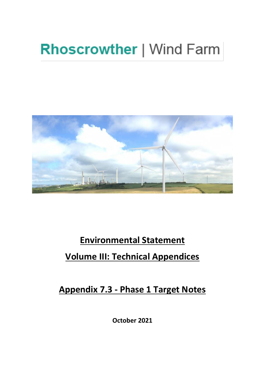# **Rhoscrowther | Wind Farm**



## **Environmental Statement Volume III: Technical Appendices**

**Appendix 7.3 - Phase 1 Target Notes**

**October 2021**